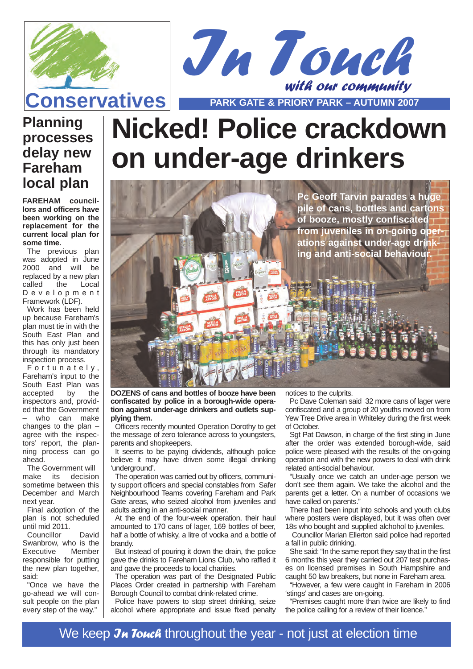



### **Planning processes delay new Fareham local plan**

**FAREHAM councillors and officers have been working on the replacement for the current local plan for some time.**

The previous plan was adopted in June 2000 and will be replaced by a new plan called the Local Development Framework (LDF).

Work has been held up because Fareham's plan must tie in with the South East Plan and this has only just been through its mandatory inspection process.

Fortunately , Fareham's input to the South East Plan was accepted by the inspectors and, provided that the Government who can make changes to the plan – agree with the inspectors' report, the planning process can go ahead.

The Government will<br>nake its decision  $m<sub>0</sub>$  and  $m<sub>1</sub>$  its sometime between this December and March next year.

Final adoption of the plan is not scheduled until mid 2011.

Councillor David Swanbrow, who is the<br>Executive Member  $Executive$ responsible for putting the new plan together, said:

"Once we have the go-ahead we will consult people on the plan every step of the way."

# **Nicked! Police crackdown on under-age drinkers**



**DOZENS of cans and bottles of booze have been confiscated by police in a borough-wide operation against under-age drinkers and outlets supplying them.**

Officers recently mounted Operation Dorothy to get the message of zero tolerance across to youngsters, parents and shopkeepers.

It seems to be paying dividends, although police believe it may have driven some illegal drinking 'underground'.

The operation was carried out by officers, community support officers and special constables from Safer Neighbourhood Teams covering Fareham and Park Gate areas, who seized alcohol from juveniles and adults acting in an anti-social manner.

At the end of the four-week operation, their haul amounted to 170 cans of lager, 169 bottles of beer, half a bottle of whisky, a litre of vodka and a bottle of brandy.

But instead of pouring it down the drain, the police gave the drinks to Fareham Lions Club, who raffled it and gave the proceeds to local charities.

The operation was part of the Designated Public Places Order created in partnership with Fareham Borough Council to combat drink-related crime.

Police have powers to stop street drinking, seize alcohol where appropriate and issue fixed penalty notices to the culprits.

Pc Dave Coleman said 32 more cans of lager were confiscated and a group of 20 youths moved on from Yew Tree Drive area in Whiteley during the first week of October.

Sgt Pat Dawson, in charge of the first sting in June after the order was extended borough-wide, said police were pleased with the results of the on-going operation and with the new powers to deal with drink related anti-social behaviour.

"Usually once we catch an under-age person we don't see them again. We take the alcohol and the parents get a letter. On a number of occasions we have called on parents."

There had been input into schools and youth clubs where posters were displayed, but it was often over 18s who bought and supplied alchohol to juveniles.

Councillor Marian Ellerton said police had reported a fall in public drinking.

She said: "In the same report they say that in the first 6 months this year they carried out 207 test purchases on licensed premises in South Hampshire and caught 50 law breakers, but none in Fareham area.

"However, a few were caught in Fareham in 2006 'stings' and cases are on-going.

"Premises caught more than twice are likely to find the police calling for a review of their licence."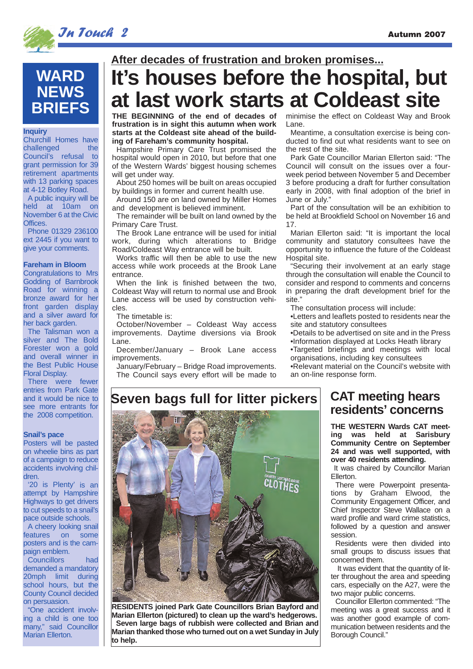

## **WARD NEWS BRIEFS**

#### **Inquiry**

Churchill Homes have challenged the Council's refusal to grant permission for 39 retirement apartments with 13 parking spaces at 4-12 Botley Road. A public inquiry will be held at 10am on November 6 at the Civic Offices. Phone 01329 236100

ext 2445 if you want to give your comments.

#### **Fareham in Bloom**

Congratulations to Mrs Godding of Barnbrook Road for winning a bronze award for her front garden display and a silver award for her back garden.

The Talisman won a silver and The Bold Forester won a gold and overall winner in the Best Public House Floral Display.

There were fewer entries from Park Gate and it would be nice to see more entrants for the 2008 competition.

#### **Snail's pace**

Posters will be pasted on wheelie bins as part of a campaign to reduce accidents involving children.

'20 is Plenty' is an attempt by Hampshire Highways to get drivers to cut speeds to a snail's pace outside schools.

A cheery looking snail<br>eatures on some features posters and is the cam-.<br>paign emblem.

Councillors had demanded a mandatory 20mph limit during school hours, but the County Council decided on persuasion.

"One accident involving a child is one too many," said Councillor Marian Ellerton.

# **After decades of frustration and broken promises...**

# **It's houses before the hospital, but at last work starts at Coldeast site**

**THE BEGINNING of the end of decades of frustration is in sight this autumn when work starts at the Coldeast site ahead of the building of Fareham's community hospital.**

Hampshire Primary Care Trust promised the hospital would open in 2010, but before that one of the Western Wards' biggest housing schemes will get under way.

About 250 homes will be built on areas occupied by buildings in former and current health use.

Around 150 are on land owned by Miller Homes and development is believed imminent.

The remainder will be built on land owned by the Primary Care Trust.

The Brook Lane entrance will be used for initial work, during which alterations to Bridge Road/Coldeast Way entrance will be built.

Works traffic will then be able to use the new access while work proceeds at the Brook Lane entrance.

When the link is finished between the two, Coldeast Way will return to normal use and Brook Lane access will be used by construction vehicles.

The timetable is:

October/November – Coldeast Way access improvements. Daytime diversions via Brook Lane.

December/January – Brook Lane access improvements.

January/February – Bridge Road improvements. The Council says every effort will be made to minimise the effect on Coldeast Way and Brook Lane.

Meantime, a consultation exercise is being conducted to find out what residents want to see on the rest of the site.

Park Gate Councillor Marian Ellerton said: "The Council will consult on the issues over a fourweek period between November 5 and December 3 before producing a draft for further consultation early in 2008, with final adoption of the brief in June or July."

Part of the consultation will be an exhibition to be held at Brookfield School on November 16 and 17.

Marian Ellerton said: "It is important the local community and statutory consultees have the opportunity to influence the future of the Coldeast Hospital site.

"Securing their involvement at an early stage through the consultation will enable the Council to consider and respond to comments and concerns in preparing the draft development brief for the site."

The consultation process will include:

•Letters and leaflets posted to residents near the site and statutory consultees

•Details to be advertised on site and in the Press •Information displayed at Locks Heath library

•Targeted briefings and meetings with local organisations, including key consultees

•Relevant material on the Council's website with an on-line response form.

### **Seven bags full for litter pickers**



**RESIDENTS joined Park Gate Councillors Brian Bayford and Marian Ellerton (pictured) to clean up the ward's hedgerows. Seven large bags of rubbish were collected and Brian and Marian thanked those who turned out on a wet Sunday in July to help.** 

### **CAT meeting hears residents' concerns**

**THE WESTERN Wards CAT meeting was held at Sarisbury Community Centre on September 24 and was well supported, with over 40 residents attending.**

It was chaired by Councillor Marian Ellerton.

There were Powerpoint presentations by Graham Elwood, the Community Engagement Officer, and Chief Inspector Steve Wallace on a ward profile and ward crime statistics. followed by a question and answer session.

Residents were then divided into small groups to discuss issues that concerned them.

It was evident that the quantity of litter throughout the area and speeding cars, especially on the A27, were the two major public concerns.

Councillor Ellerton commented: "The meeting was a great success and it was another good example of communication between residents and the Borough Council."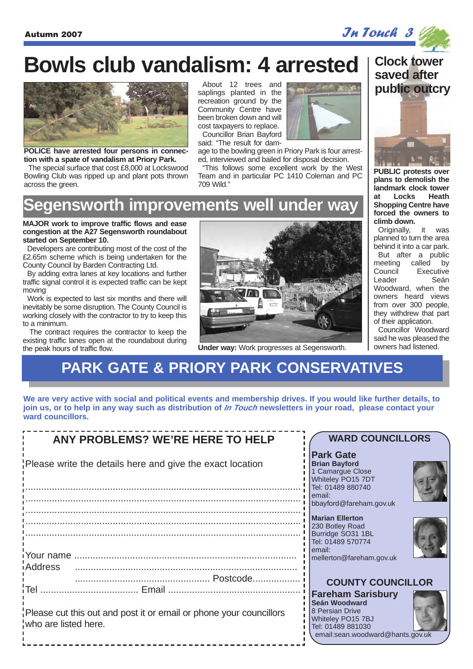

# **Bowls club vandalism: 4 arrested**



**POLICE have arrested four persons in connection with a spate of vandalism at Priory Park.**

The special surface that cost £8,000 at Lockswood Bowling Club was ripped up and plant pots thrown across the green.

About 12 trees and saplings planted in the recreation ground by the Community Centre have been broken down and will cost taxpayers to replace. Councillor Brian Bayford

said: "The result for dam-

age to the bowling green in Priory Park is four arrested, interviewed and bailed for disposal decision.

"This follows some excellent work by the West Team and in particular PC 1410 Coleman and PC 709 Wild."

## **egensworth improvements well under way**

#### **MAJOR work to improve traffic flows and ease congestion at the A27 Segensworth roundabout started on September 10.**

Developers are contributing most of the cost of the £2.65m scheme which is being undertaken for the County Council by Barden Contracting Ltd.

By adding extra lanes at key locations and further traffic signal control it is expected traffic can be kept moving

Work is expected to last six months and there will inevitably be some disruption. The County Council is working closely with the contractor to try to keep this to a minimum.

The contract requires the contractor to keep the existing traffic lanes open at the roundabout during the peak hours of traffic flow.



**Under way:** Work progresses at Segensworth.

### **Clock tower saved after public outcry**



**PUBLIC protests over plans to demolish the landmark clock tower at Locks Heath Shopping Centre have forced the owners to climb down.**

Originally, it was planned to turn the area behind it into a car park. But after a public meeting called by Council Executive Leader Seán Woodward, when the owners heard views from over 300 people, they withdrew that part of their application.

Councillor Woodward said he was pleased the owners had listened.

## **PARK GATE & PRIORY PARK CONSERVATIVES**

**We are very active with social and political events and membership drives. If you would like further details, to join us, or to help in any way such as distribution of In Touch newsletters in your road, please contact your ward councillors.**

| <b>ANY PROBLEMS? WE'RE HERE TO HELP</b>                                                    | <b>WARD COUNCILLORS</b>                                                                                                                    |
|--------------------------------------------------------------------------------------------|--------------------------------------------------------------------------------------------------------------------------------------------|
| Please write the details here and give the exact location                                  | <b>Park Gate</b><br><b>Brian Bayford</b><br>1 Camargue Close<br>Whiteley PO15 7DT<br>Tel: 01489 880740                                     |
|                                                                                            | email:<br>bbayford@fareham.gov.uk                                                                                                          |
|                                                                                            | <b>Marian Ellerton</b><br>230 Botley Road<br>Burridge SO31 1BL                                                                             |
| iAddress                                                                                   | Tel: 01489 570774<br>email:<br>mellerton@fareham.gov.uk                                                                                    |
| <b>Tel</b>                                                                                 | <b>COUNTY COUNCILLOR</b>                                                                                                                   |
| Please cut this out and post it or email or phone your councillors<br>who are listed here. | <b>Fareham Sarisbury</b><br>Seán Woodward<br>8 Persian Drive<br>Whiteley PO15 7BJ<br>Tel: 01489 881030<br>email:sean.woodward@hants.gov.uk |